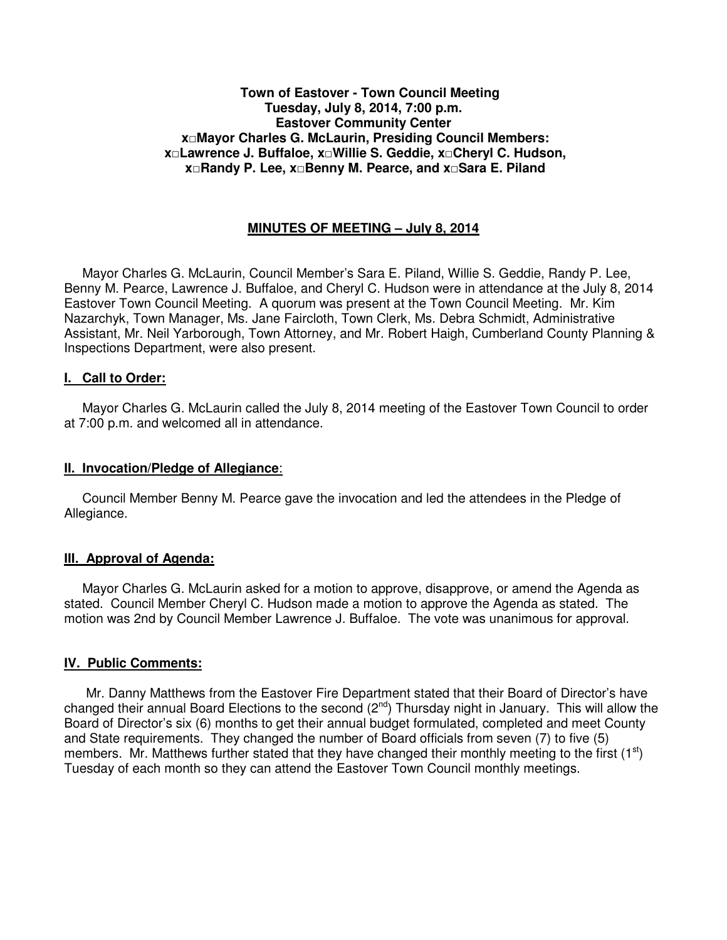#### **Town of Eastover - Town Council Meeting Tuesday, July 8, 2014, 7:00 p.m. Eastover Community Center x□Mayor Charles G. McLaurin, Presiding Council Members: x□Lawrence J. Buffaloe, x□Willie S. Geddie, x□Cheryl C. Hudson, x□Randy P. Lee, x□Benny M. Pearce, and x□Sara E. Piland**

## **MINUTES OF MEETING – July 8, 2014**

 Mayor Charles G. McLaurin, Council Member's Sara E. Piland, Willie S. Geddie, Randy P. Lee, Benny M. Pearce, Lawrence J. Buffaloe, and Cheryl C. Hudson were in attendance at the July 8, 2014 Eastover Town Council Meeting. A quorum was present at the Town Council Meeting. Mr. Kim Nazarchyk, Town Manager, Ms. Jane Faircloth, Town Clerk, Ms. Debra Schmidt, Administrative Assistant, Mr. Neil Yarborough, Town Attorney, and Mr. Robert Haigh, Cumberland County Planning & Inspections Department, were also present.

### **I. Call to Order:**

 Mayor Charles G. McLaurin called the July 8, 2014 meeting of the Eastover Town Council to order at 7:00 p.m. and welcomed all in attendance.

#### **II. Invocation/Pledge of Allegiance**:

 Council Member Benny M. Pearce gave the invocation and led the attendees in the Pledge of Allegiance.

## **III. Approval of Agenda:**

 Mayor Charles G. McLaurin asked for a motion to approve, disapprove, or amend the Agenda as stated. Council Member Cheryl C. Hudson made a motion to approve the Agenda as stated. The motion was 2nd by Council Member Lawrence J. Buffaloe. The vote was unanimous for approval.

#### **IV. Public Comments:**

 Mr. Danny Matthews from the Eastover Fire Department stated that their Board of Director's have changed their annual Board Elections to the second (2<sup>nd</sup>) Thursday night in January. This will allow the Board of Director's six (6) months to get their annual budget formulated, completed and meet County and State requirements. They changed the number of Board officials from seven (7) to five (5) members. Mr. Matthews further stated that they have changed their monthly meeting to the first  $(1^{st})$ Tuesday of each month so they can attend the Eastover Town Council monthly meetings.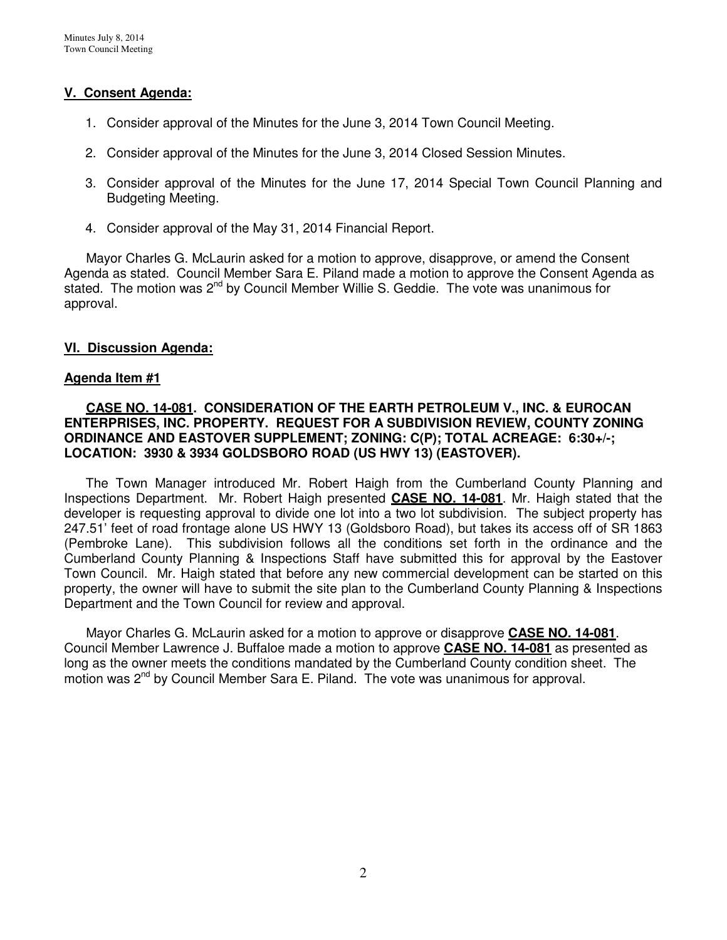## **V. Consent Agenda:**

- 1. Consider approval of the Minutes for the June 3, 2014 Town Council Meeting.
- 2. Consider approval of the Minutes for the June 3, 2014 Closed Session Minutes.
- 3. Consider approval of the Minutes for the June 17, 2014 Special Town Council Planning and Budgeting Meeting.
- 4. Consider approval of the May 31, 2014 Financial Report.

 Mayor Charles G. McLaurin asked for a motion to approve, disapprove, or amend the Consent Agenda as stated. Council Member Sara E. Piland made a motion to approve the Consent Agenda as stated. The motion was 2<sup>nd</sup> by Council Member Willie S. Geddie. The vote was unanimous for approval.

## **VI. Discussion Agenda:**

### **Agenda Item #1**

### **CASE NO. 14-081. CONSIDERATION OF THE EARTH PETROLEUM V., INC. & EUROCAN ENTERPRISES, INC. PROPERTY. REQUEST FOR A SUBDIVISION REVIEW, COUNTY ZONING ORDINANCE AND EASTOVER SUPPLEMENT; ZONING: C(P); TOTAL ACREAGE: 6:30+/-; LOCATION: 3930 & 3934 GOLDSBORO ROAD (US HWY 13) (EASTOVER).**

The Town Manager introduced Mr. Robert Haigh from the Cumberland County Planning and Inspections Department. Mr. Robert Haigh presented **CASE NO. 14-081**. Mr. Haigh stated that the developer is requesting approval to divide one lot into a two lot subdivision. The subject property has 247.51' feet of road frontage alone US HWY 13 (Goldsboro Road), but takes its access off of SR 1863 (Pembroke Lane). This subdivision follows all the conditions set forth in the ordinance and the Cumberland County Planning & Inspections Staff have submitted this for approval by the Eastover Town Council. Mr. Haigh stated that before any new commercial development can be started on this property, the owner will have to submit the site plan to the Cumberland County Planning & Inspections Department and the Town Council for review and approval.

 Mayor Charles G. McLaurin asked for a motion to approve or disapprove **CASE NO. 14-081**. Council Member Lawrence J. Buffaloe made a motion to approve **CASE NO. 14-081** as presented as long as the owner meets the conditions mandated by the Cumberland County condition sheet. The motion was  $2^{nd}$  by Council Member Sara E. Piland. The vote was unanimous for approval.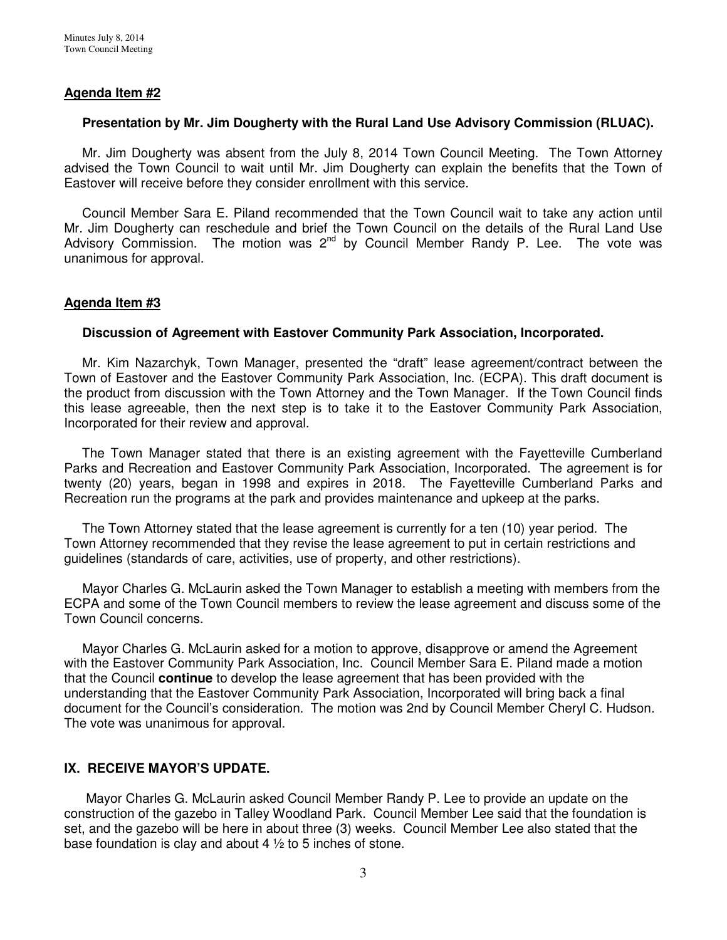## **Agenda Item #2**

### **Presentation by Mr. Jim Dougherty with the Rural Land Use Advisory Commission (RLUAC).**

 Mr. Jim Dougherty was absent from the July 8, 2014 Town Council Meeting. The Town Attorney advised the Town Council to wait until Mr. Jim Dougherty can explain the benefits that the Town of Eastover will receive before they consider enrollment with this service.

 Council Member Sara E. Piland recommended that the Town Council wait to take any action until Mr. Jim Dougherty can reschedule and brief the Town Council on the details of the Rural Land Use Advisory Commission. The motion was  $2^{nd}$  by Council Member Randy P. Lee. The vote was unanimous for approval.

### **Agenda Item #3**

### **Discussion of Agreement with Eastover Community Park Association, Incorporated.**

 Mr. Kim Nazarchyk, Town Manager, presented the "draft" lease agreement/contract between the Town of Eastover and the Eastover Community Park Association, Inc. (ECPA). This draft document is the product from discussion with the Town Attorney and the Town Manager. If the Town Council finds this lease agreeable, then the next step is to take it to the Eastover Community Park Association, Incorporated for their review and approval.

 The Town Manager stated that there is an existing agreement with the Fayetteville Cumberland Parks and Recreation and Eastover Community Park Association, Incorporated. The agreement is for twenty (20) years, began in 1998 and expires in 2018. The Fayetteville Cumberland Parks and Recreation run the programs at the park and provides maintenance and upkeep at the parks.

 The Town Attorney stated that the lease agreement is currently for a ten (10) year period. The Town Attorney recommended that they revise the lease agreement to put in certain restrictions and guidelines (standards of care, activities, use of property, and other restrictions).

 Mayor Charles G. McLaurin asked the Town Manager to establish a meeting with members from the ECPA and some of the Town Council members to review the lease agreement and discuss some of the Town Council concerns.

 Mayor Charles G. McLaurin asked for a motion to approve, disapprove or amend the Agreement with the Eastover Community Park Association, Inc. Council Member Sara E. Piland made a motion that the Council **continue** to develop the lease agreement that has been provided with the understanding that the Eastover Community Park Association, Incorporated will bring back a final document for the Council's consideration. The motion was 2nd by Council Member Cheryl C. Hudson. The vote was unanimous for approval.

## **IX. RECEIVE MAYOR'S UPDATE.**

 Mayor Charles G. McLaurin asked Council Member Randy P. Lee to provide an update on the construction of the gazebo in Talley Woodland Park. Council Member Lee said that the foundation is set, and the gazebo will be here in about three (3) weeks. Council Member Lee also stated that the base foundation is clay and about 4 ½ to 5 inches of stone.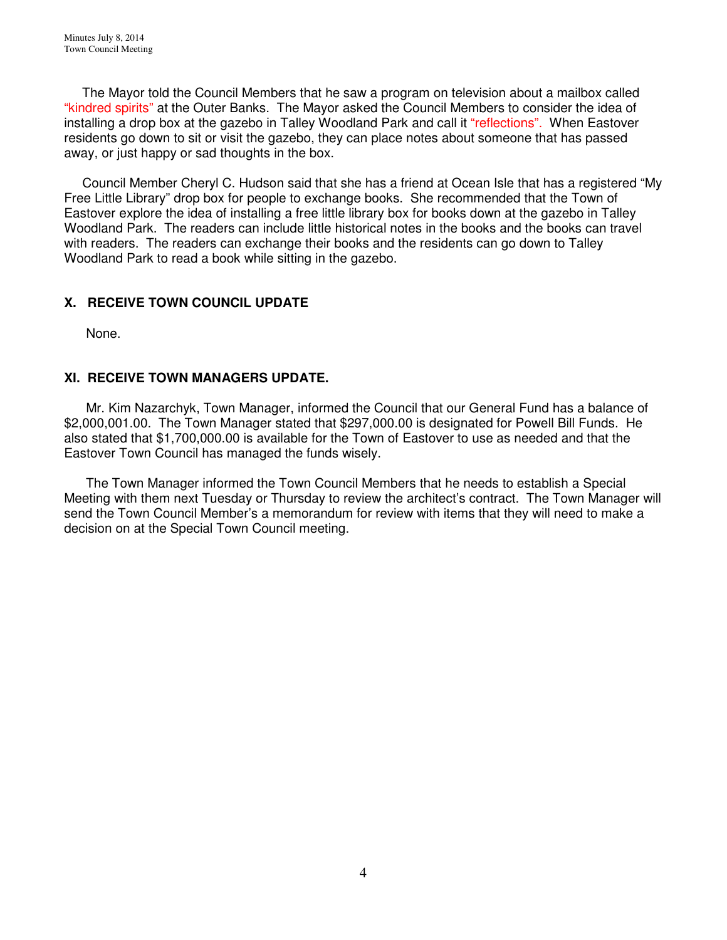The Mayor told the Council Members that he saw a program on television about a mailbox called "kindred spirits" at the Outer Banks. The Mayor asked the Council Members to consider the idea of installing a drop box at the gazebo in Talley Woodland Park and call it "reflections". When Eastover residents go down to sit or visit the gazebo, they can place notes about someone that has passed away, or just happy or sad thoughts in the box.

 Council Member Cheryl C. Hudson said that she has a friend at Ocean Isle that has a registered "My Free Little Library" drop box for people to exchange books. She recommended that the Town of Eastover explore the idea of installing a free little library box for books down at the gazebo in Talley Woodland Park. The readers can include little historical notes in the books and the books can travel with readers. The readers can exchange their books and the residents can go down to Talley Woodland Park to read a book while sitting in the gazebo.

# **X. RECEIVE TOWN COUNCIL UPDATE**

None.

# **XI. RECEIVE TOWN MANAGERS UPDATE.**

 Mr. Kim Nazarchyk, Town Manager, informed the Council that our General Fund has a balance of \$2,000,001.00. The Town Manager stated that \$297,000.00 is designated for Powell Bill Funds. He also stated that \$1,700,000.00 is available for the Town of Eastover to use as needed and that the Eastover Town Council has managed the funds wisely.

 The Town Manager informed the Town Council Members that he needs to establish a Special Meeting with them next Tuesday or Thursday to review the architect's contract. The Town Manager will send the Town Council Member's a memorandum for review with items that they will need to make a decision on at the Special Town Council meeting.